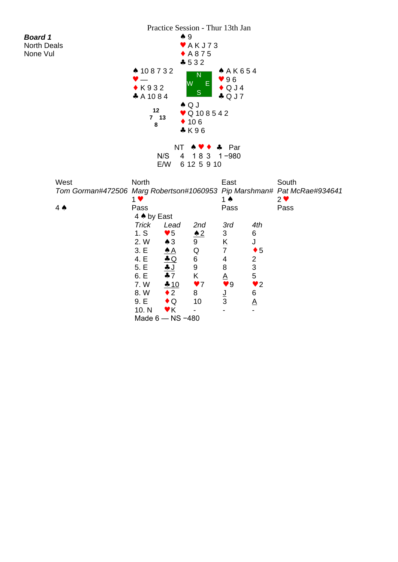| <b>Board 1</b><br><b>North Deals</b><br>None Vul                                | ▲ 108732<br>$\bullet$ K932<br>$A$ A 10 8 4<br>12<br>7 <sub>13</sub><br>8                                    | $\bullet$ 9<br>W<br>$\clubsuit$ Q J                                                                                                                                                             | $*$ AKJ73<br>$+ A875$<br>$-532$<br>N<br>E<br>S<br>$\bullet$ Q 10 8 5 4 2<br>$\div$ 106<br>$*K96$             | Practice Session - Thur 13th Jan<br>A K654<br>96<br>$\bullet$ Q J 4<br>$\clubsuit$ Q J 7                                                                    |                                                                                                                         |                   |
|---------------------------------------------------------------------------------|-------------------------------------------------------------------------------------------------------------|-------------------------------------------------------------------------------------------------------------------------------------------------------------------------------------------------|--------------------------------------------------------------------------------------------------------------|-------------------------------------------------------------------------------------------------------------------------------------------------------------|-------------------------------------------------------------------------------------------------------------------------|-------------------|
|                                                                                 |                                                                                                             | <b>NT</b><br>N/S<br>$\overline{4}$<br>E/W                                                                                                                                                       | 4<br>183<br>6 12 5 9 10                                                                                      | Par<br>$1 - 980$                                                                                                                                            |                                                                                                                         |                   |
| West<br>Tom Gorman#472506 Marg Robertson#1060953 Pip Marshman# Pat McRae#934641 | North<br>$1$ $\blacktriangledown$                                                                           |                                                                                                                                                                                                 |                                                                                                              | East<br>1 $\triangle$                                                                                                                                       |                                                                                                                         | South<br>$2 \vee$ |
| $4 \spadesuit$                                                                  | Pass<br>4 A by East<br>Trick<br>1. S<br>2. W<br>3. E<br>4. E<br>5. E<br>6. E<br>7.W<br>8.W<br>9. E<br>10. N | Lead<br>$\blacktriangledown 5$<br>$\triangle$ 3<br>$\triangle$ A<br>$\triangle Q$<br><u>+ J</u><br>$+7$<br>$-10$<br>$\bullet$ 2<br>$\bullet$ Q<br>$\blacktriangledown$ K<br>Made $6 - NS - 480$ | 2nd<br>$\triangle 2$<br>9<br>Q<br>6<br>9<br>K<br>$\blacktriangledown$<br>8<br>10<br>$\overline{\phantom{a}}$ | Pass<br>3rd<br>3<br>$\underline{\mathsf{K}}$<br>$\overline{7}$<br>$\overline{\mathbf{4}}$<br>8<br>$\underline{\mathsf{A}}$<br>9<br><u>J</u><br>$\mathbf{3}$ | 4th<br>6<br>J<br>$\bullet$ 5<br>$\overline{c}$<br>$\mathfrak{S}$<br>5<br>$\blacktriangledown$ 2<br>6<br>$\underline{A}$ | Pass              |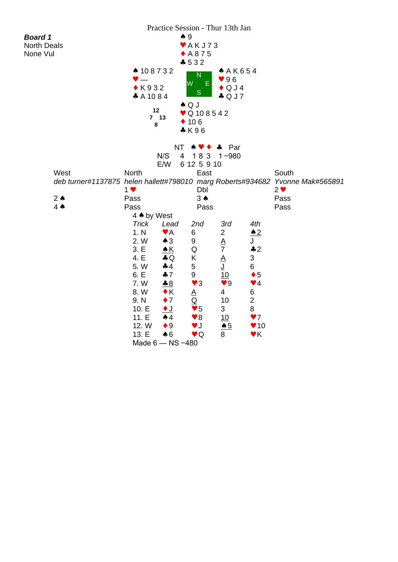| <b>Board 1</b><br><b>North Deals</b><br>None Vul | ▲ 108732<br>$\bullet$ K932<br>$\clubsuit$ A 10 8 4<br>12<br>7 <sub>13</sub><br>8                                                   | Practice Session - Thur 13th Jan<br>$\clubsuit$ 9                                                                                                                                  | $\blacktriangleright$ AKJ73<br>$+ A875$<br>$-532$<br>N<br>$\sf W$ .<br>E.<br>S<br>$\triangle$ Q J<br>$\bullet$ Q 10 8 5 4 2<br>$\div$ 106                                              | AAK654<br>96<br>$\bullet$ QJ4<br>$\clubsuit$ Q J 7                                                                                            |                                                                                                                                                                                                      |                                                                                                            |
|--------------------------------------------------|------------------------------------------------------------------------------------------------------------------------------------|------------------------------------------------------------------------------------------------------------------------------------------------------------------------------------|----------------------------------------------------------------------------------------------------------------------------------------------------------------------------------------|-----------------------------------------------------------------------------------------------------------------------------------------------|------------------------------------------------------------------------------------------------------------------------------------------------------------------------------------------------------|------------------------------------------------------------------------------------------------------------|
| West<br>$2 \triangle$                            | <b>North</b><br>1 <sub>v</sub><br>Pass                                                                                             | NT<br>N/S<br>4<br>E/W                                                                                                                                                              | & K96<br>183<br>6 12 5 9 10<br>East<br>Dbl<br>$3 \spadesuit$                                                                                                                           | Par<br>4<br>$1 - 980$                                                                                                                         |                                                                                                                                                                                                      | South<br>deb turner#1137875 helen hallett#798010 marg Roberts#934682 Yvonne Mak#565891<br>$2 \vee$<br>Pass |
| $4 \spadesuit$                                   | Pass<br>4 A by West<br><b>Trick</b><br>1. N<br>2. W<br>3. E<br>4. E<br>5.W<br>6. E<br>7.W<br>8.W<br>9. N<br>10. E<br>11.E<br>12. W | Lead<br>$\blacktriangledown$ A<br>$\clubsuit$ 3<br><u> ▲ K</u><br>$\clubsuit$ Q<br>44<br>$+7$<br>$-8$<br>$\bullet$ K<br>$\bullet$ 7<br><u>♦ J</u><br>$\spadesuit$ 4<br>$\bullet$ 9 | Pass<br>2nd<br>6<br>9<br>Q<br>Κ<br>5<br>9<br>$\blacktriangledown$ 3<br><u>A</u><br>$\overline{\mathsf{Q}}$<br>$\blacktriangledown 5$<br>$\blacktriangledown 8$<br>$\blacktriangledown$ | 3rd<br>$\overline{c}$<br><u>А</u><br>$\overline{7}$<br><u>A</u><br>ِ ل<br>10<br>$\blacktriangledown 9$<br>4<br>10<br>3<br>10<br>$\triangle 5$ | 4th<br>$\triangle$ 2<br>J<br>$\clubsuit$ 2<br>$\ensuremath{\mathsf{3}}$<br>6<br>$\bullet$ 5<br>$\blacktriangledown$ 4<br>6<br>$\overline{2}$<br>8<br>$\blacktriangledown$<br>$\blacktriangledown$ 10 | Pass                                                                                                       |
|                                                  | 13. E                                                                                                                              | $\clubsuit$ 6<br>Made 6 - NS -480                                                                                                                                                  | $\blacktriangledown$                                                                                                                                                                   | $\underline{8}$                                                                                                                               | $\vee$ K                                                                                                                                                                                             |                                                                                                            |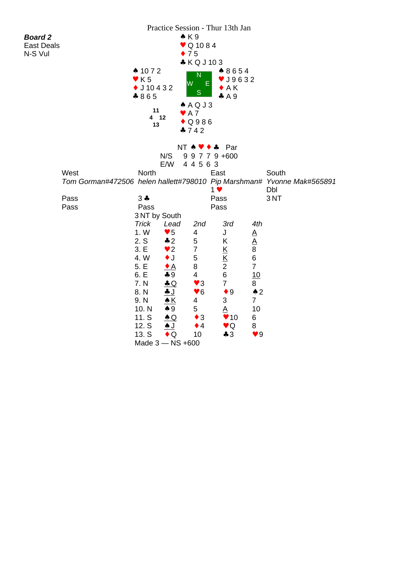|                   |      |                                     | Practice Session - Thur 13th Jan |                              |                                                      |                        |                                                                        |
|-------------------|------|-------------------------------------|----------------------------------|------------------------------|------------------------------------------------------|------------------------|------------------------------------------------------------------------|
| <b>Board 2</b>    |      |                                     | $\triangle$ $K9$                 |                              |                                                      |                        |                                                                        |
| <b>East Deals</b> |      |                                     |                                  | $\bullet$ Q 1084             |                                                      |                        |                                                                        |
| N-S Vul           |      |                                     | $\bullet$ 75                     |                              |                                                      |                        |                                                                        |
|                   |      |                                     |                                  | *KQJ103                      |                                                      |                        |                                                                        |
|                   |      | $\spadesuit$ 1072                   |                                  |                              | ▲ 8654                                               |                        |                                                                        |
|                   |      | $\blacktriangledown$ K <sub>5</sub> | W                                | $\overline{\mathsf{N}}$<br>Ε | $\blacktriangledown$ J9632                           |                        |                                                                        |
|                   |      | $\bullet$ J 10 4 3 2                |                                  |                              | $\bullet$ AK                                         |                        |                                                                        |
|                   |      | $*865$                              |                                  | $\mathbf S$                  | A9                                                   |                        |                                                                        |
|                   |      |                                     |                                  | A Q J3                       |                                                      |                        |                                                                        |
|                   |      | 11<br>4 12                          | $\blacktriangleright$ A 7        |                              |                                                      |                        |                                                                        |
|                   |      | 13                                  |                                  | $\bullet$ Q986               |                                                      |                        |                                                                        |
|                   |      |                                     | $-742$                           |                              |                                                      |                        |                                                                        |
|                   |      |                                     |                                  |                              |                                                      |                        |                                                                        |
|                   |      |                                     |                                  | $NT A V + A$                 | Par                                                  |                        |                                                                        |
|                   |      |                                     | N/S                              | 9 9 7 7 9 +600               |                                                      |                        |                                                                        |
|                   |      |                                     | E/W                              | 4 4 5 6 3                    |                                                      |                        |                                                                        |
|                   | West | North                               |                                  | East                         |                                                      |                        | South                                                                  |
|                   |      |                                     |                                  |                              |                                                      |                        | Tom Gorman#472506 helen hallett#798010 Pip Marshman# Yvonne Mak#565891 |
|                   |      |                                     |                                  | $1$ $\vee$                   |                                                      |                        | Dbl                                                                    |
|                   | Pass | $3 +$                               |                                  | Pass                         |                                                      |                        | 3NT                                                                    |
|                   | Pass | Pass                                |                                  | Pass                         |                                                      |                        |                                                                        |
|                   |      | 3 NT by South                       |                                  |                              |                                                      |                        |                                                                        |
|                   |      | <b>Trick</b>                        | Lead                             | 2nd                          | 3rd                                                  | 4th                    |                                                                        |
|                   |      | 1. W                                | $\blacktriangledown 5$           | 4                            | J                                                    | $\underline{A}$        |                                                                        |
|                   |      | 2. S                                | $\clubsuit$ 2                    | 5                            | Κ                                                    | $\underline{A}$        |                                                                        |
|                   |      | 3. E<br>4. W                        | $\bullet$ 2<br>$\bullet$ J       | $\overline{7}$<br>5          | $\underline{\mathsf{K}}$<br>$\underline{\mathsf{K}}$ | $\,8\,$<br>$\,6$       |                                                                        |
|                   |      | 5. E                                |                                  | 8                            | $\overline{c}$                                       | $\overline{7}$         |                                                                        |
|                   |      | 6. E                                | <u>◆ A</u><br>$-9$               | $\overline{\mathcal{A}}$     | $\,6\,$                                              | 10                     |                                                                        |
|                   |      | 7. N                                | $\triangle$ Q                    | $\blacktriangledown$ 3       | $\overline{7}$                                       | 8                      |                                                                        |
|                   |      | 8. N                                | <u>+ J</u>                       | $\blacktriangledown 6$       | $\bullet$ 9                                          | $\triangle$ 2          |                                                                        |
|                   |      | 9. N                                | $\underline{\star K}$            | 4                            | 3                                                    | $\overline{7}$         |                                                                        |
|                   |      | 10. N                               | $\clubsuit$ 9                    | 5                            | <u>A</u>                                             | 10                     |                                                                        |
|                   |      | 11. S                               | $\triangle Q$                    | $\bullet$ 3                  | $\blacktriangledown$ 10                              | 6                      |                                                                        |
|                   |      | 12. S                               | <u>A J</u>                       | $\bullet$ 4                  | $\vee Q$                                             | 8                      |                                                                        |
|                   |      | 13. S                               | $\triangle$ Q                    | 10                           | 43                                                   | $\blacktriangledown 9$ |                                                                        |
|                   |      |                                     | Made 3 - NS +600                 |                              |                                                      |                        |                                                                        |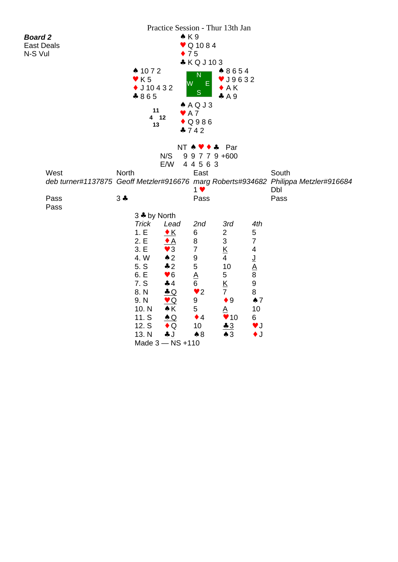| <b>Board 2</b><br><b>East Deals</b><br>N-S Vul | $\spadesuit$ 1072<br>$\blacktriangledown$ K 5<br>$\bullet$ J 10 4 3 2<br>$*865$<br>11<br>4 12<br>13                   | Practice Session - Thur 13th Jan                                                                                                                                                                                                                                          | $\triangle$ K 9<br>$\bullet$ Q 1084<br>$\bullet$ 75<br>* KQJ103<br>N<br>W<br>E.<br>S<br>A Q J3<br>$\blacktriangleright$ A 7<br>$\bullet$ Q986<br>4742                | ▲ 8654<br>$\blacktriangledown$ J9632<br>$\bullet$ AK<br>A9                                                                                                                                                                                 |                                                                                                                                                                                  |                                                                                                             |  |
|------------------------------------------------|-----------------------------------------------------------------------------------------------------------------------|---------------------------------------------------------------------------------------------------------------------------------------------------------------------------------------------------------------------------------------------------------------------------|----------------------------------------------------------------------------------------------------------------------------------------------------------------------|--------------------------------------------------------------------------------------------------------------------------------------------------------------------------------------------------------------------------------------------|----------------------------------------------------------------------------------------------------------------------------------------------------------------------------------|-------------------------------------------------------------------------------------------------------------|--|
| West<br>Pass<br>Pass                           | North<br>$3 +$<br>3 + by North                                                                                        | N/S<br>E/W                                                                                                                                                                                                                                                                | $NT \land \lor \bullet \bullet \quad \text{Par}$<br>9 9 7 7 9 +600<br>4 4 5 6 3<br>East<br>1 <sub>v</sub><br>Pass                                                    |                                                                                                                                                                                                                                            |                                                                                                                                                                                  | South<br>deb turner#1137875 Geoff Metzler#916676 marg Roberts#934682 Philippa Metzler#916684<br>Dbl<br>Pass |  |
|                                                | <b>Trick</b><br>1.E<br>2.E<br>3. E<br>4.W<br>5. S<br>6. E<br>7. S<br>8. N<br>9. N<br>10. N<br>11. S<br>12. S<br>13. N | Lead<br>$\underline{\bullet K}$<br>$\triangle$<br>$\blacktriangledown$ 3<br>$\triangle$ 2<br>$\div 2$<br>$\blacktriangledown 6$<br>$+4$<br>$\triangle$ Q<br>$\underline{\mathbf{v}}$ Q<br>$\triangle K$<br>$\triangle$ Q<br>$\bullet$ Q<br><u>+ J</u><br>Made 3 - NS +110 | 2nd<br>6<br>8<br>$\overline{7}$<br>$\boldsymbol{9}$<br>$\mathbf 5$<br>$\underline{A}$<br>6<br>$\blacktriangledown$ 2<br>9<br>5<br>$\bullet$ 4<br>10<br>$\clubsuit 8$ | 3rd<br>$\overline{c}$<br>$\mathfrak{S}$<br>$\underline{\mathsf{K}}$<br>$\overline{4}$<br>10<br>$\mathbf 5$<br>$\underline{\mathsf{K}}$<br>$\overline{7}$<br>$\bullet$ 9<br>$\underline{A}$<br>$\blacktriangledown$ 10<br>$-3$<br>$\star$ 3 | 4th<br>$\mathbf 5$<br>$\overline{7}$<br>4<br><u>ل</u><br>$\underline{A}$<br>$\bf 8$<br>$\boldsymbol{9}$<br>8<br>$\spadesuit$ 7<br>10<br>6<br>$\blacktriangledown$<br>$\bullet$ J |                                                                                                             |  |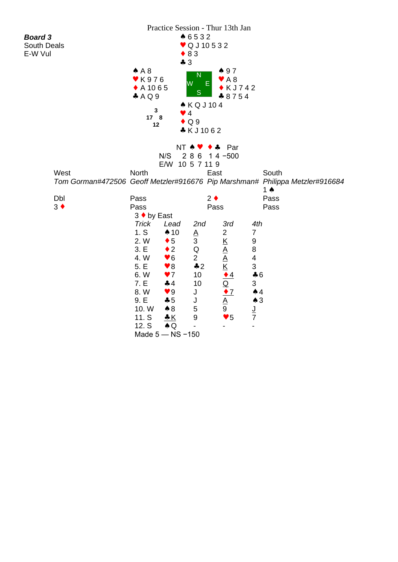|                |             |                       |                        |                 | Practice Session - Thur 13th Jan |                         |                                                                              |
|----------------|-------------|-----------------------|------------------------|-----------------|----------------------------------|-------------------------|------------------------------------------------------------------------------|
| <b>Board 3</b> |             |                       |                        | ▲ 6532          |                                  |                         |                                                                              |
| South Deals    |             |                       |                        | ♥ Q J 10 5 3 2  |                                  |                         |                                                                              |
| E-W Vul        |             |                       | $\bullet$ 83           |                 |                                  |                         |                                                                              |
|                |             |                       | $-3$                   |                 |                                  |                         |                                                                              |
|                |             | $A$ A 8               |                        |                 | 497                              |                         |                                                                              |
|                |             | <b>▼K976</b>          |                        | N               | $\blacktriangleright$ A 8        |                         |                                                                              |
|                |             | $\triangle$ A 1065    | W                      | F               | $\bullet$ KJ742                  |                         |                                                                              |
|                |             | A Q 9                 |                        | S               | $*8754$                          |                         |                                                                              |
|                |             |                       |                        | ▲ KQJ104        |                                  |                         |                                                                              |
|                |             | $\mathbf{3}$          | $\bullet$ 4            |                 |                                  |                         |                                                                              |
|                |             | 17 <sub>8</sub><br>12 | $\bullet$ Q 9          |                 |                                  |                         |                                                                              |
|                |             |                       |                        | *KJ1062         |                                  |                         |                                                                              |
|                |             |                       |                        |                 |                                  |                         |                                                                              |
|                |             |                       | NT A V                 |                 | $\leftrightarrow$ Par            |                         |                                                                              |
|                |             |                       | N/S                    | $28614 - 500$   |                                  |                         |                                                                              |
|                |             |                       | E/W 10 5 7 11 9        |                 |                                  |                         |                                                                              |
|                | West        | <b>North</b>          |                        | East            |                                  |                         | South                                                                        |
|                |             |                       |                        |                 |                                  |                         | Tom Gorman#472506 Geoff Metzler#916676 Pip Marshman# Philippa Metzler#916684 |
|                |             |                       |                        |                 |                                  |                         | 1 $\triangle$                                                                |
|                | Dbl         | Pass                  |                        | $2 \bullet$     |                                  |                         | Pass                                                                         |
|                | $3 \bullet$ | Pass                  |                        | Pass            |                                  |                         | Pass                                                                         |
|                |             | 3 ♦ by East           |                        |                 |                                  |                         |                                                                              |
|                |             | Trick                 | Lead                   | 2nd             | 3rd                              | 4th                     |                                                                              |
|                |             | 1. S                  | $\spadesuit$ 10        | $\underline{A}$ | $\overline{c}$                   | $\overline{7}$          |                                                                              |
|                |             | 2. W                  | $\bullet$ 5            | 3               | $\underline{\mathsf{K}}$         | 9                       |                                                                              |
|                |             | 3. E                  | $\bullet$ 2            | Q               |                                  | 8                       |                                                                              |
|                |             | 4. W                  | $\blacktriangledown 6$ | $\overline{2}$  | $\frac{A}{A}$                    | $\overline{\mathbf{4}}$ |                                                                              |
|                |             | 5. E                  | $\blacktriangledown 8$ | $\clubsuit$ 2   |                                  | $\mathbf{3}$            |                                                                              |
|                |             | 6.W                   | $\blacktriangledown$   | 10              | $\bullet$ <sup>4</sup>           | $\clubsuit$ 6           |                                                                              |
|                |             | 7. E                  | 44                     | 10              | $\overline{\mathsf{Q}}$          | 3                       |                                                                              |
|                |             | 8.W                   | $\blacktriangledown 9$ | J               | $\bullet$ 7                      | $\spadesuit$ 4          |                                                                              |
|                |             | 9.E                   | $-5$                   | J               | A                                | $\clubsuit$ 3           |                                                                              |
|                |             | 10. W                 | $\clubsuit$ 8          | 5               | 9                                | <u>ل</u>                |                                                                              |
|                |             | 11. S                 | <u>* K</u>             | $9\,$           | $\blacktriangledown 5$           | $\overline{7}$          |                                                                              |
|                |             | 12. S                 | $\clubsuit$ Q          |                 |                                  |                         |                                                                              |
|                |             |                       | Made $5 - NS - 150$    |                 |                                  |                         |                                                                              |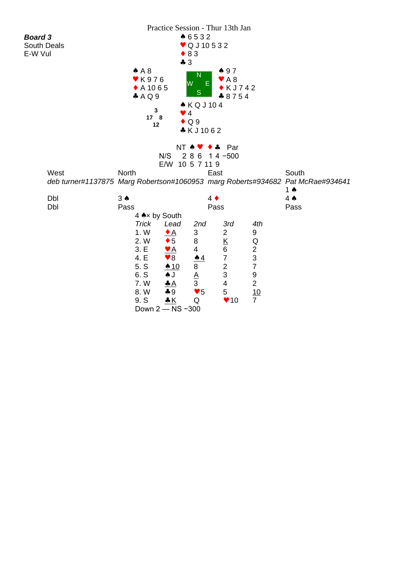|                |            |                        |                        |                           | Practice Session - Thur 13th Jan |                  |                                                                                |  |
|----------------|------------|------------------------|------------------------|---------------------------|----------------------------------|------------------|--------------------------------------------------------------------------------|--|
| <b>Board 3</b> |            |                        |                        | ▲ 6532                    |                                  |                  |                                                                                |  |
| South Deals    |            |                        |                        | ♥ Q J 10 5 3 2            |                                  |                  |                                                                                |  |
| E-W Vul        |            |                        |                        | $\bullet$ 83              |                                  |                  |                                                                                |  |
|                |            |                        | 43                     |                           |                                  |                  |                                                                                |  |
|                |            | $A$ A 8                |                        | N                         | 497                              |                  |                                                                                |  |
|                |            | <b>v</b> K976          |                        | W<br>Ε                    | $\blacktriangleright$ A 8        |                  |                                                                                |  |
|                |            | ◆ A 10 6 5             |                        | S                         | $\bullet$ KJ742                  |                  |                                                                                |  |
|                |            | A Q 9                  |                        | <b>AKQJ104</b>            | $*8754$                          |                  |                                                                                |  |
|                |            | 3                      | $\bullet$ 4            |                           |                                  |                  |                                                                                |  |
|                |            | 17 8                   |                        | $\bullet$ Q 9             |                                  |                  |                                                                                |  |
|                |            | 12                     |                        | *KJ1062                   |                                  |                  |                                                                                |  |
|                |            |                        |                        |                           |                                  |                  |                                                                                |  |
|                |            |                        |                        | NT 4 V                    | Par<br>$\clubsuit$               |                  |                                                                                |  |
|                |            |                        | N/S                    | 286                       | $14 - 500$                       |                  |                                                                                |  |
|                |            |                        |                        | E/W 10 5 7 11 9           |                                  |                  |                                                                                |  |
|                | West       | <b>North</b>           |                        |                           | East                             |                  | South                                                                          |  |
|                |            |                        |                        |                           |                                  |                  | deb turner#1137875 Marg Robertson#1060953 marg Roberts#934682 Pat McRae#934641 |  |
|                |            |                        |                        |                           |                                  |                  | 1 ♠                                                                            |  |
|                | Dbl<br>Dbl | $3 \spadesuit$<br>Pass |                        | $4 \bullet$               | Pass                             |                  | $4 \spadesuit$<br>Pass                                                         |  |
|                |            | 4 Ax by South          |                        |                           |                                  |                  |                                                                                |  |
|                |            | <b>Trick</b>           | Lead                   | 2nd                       | 3rd                              | 4th              |                                                                                |  |
|                |            | 1. W                   | $\bullet$ A            | $\ensuremath{\mathsf{3}}$ | $\overline{2}$                   | 9                |                                                                                |  |
|                |            | 2. W                   | $\bullet$ 5            | 8                         |                                  | Q                |                                                                                |  |
|                |            | 3. E                   | <u>V A</u>             | $\overline{4}$            | $\frac{\text{K}}{6}$             |                  |                                                                                |  |
|                |            | 4. E                   | $\blacktriangledown 8$ | $\triangle 4$             | $\overline{7}$                   | $\frac{2}{3}$    |                                                                                |  |
|                |            | 5. S                   | $\triangle$ 10         | 8                         | $\mathbf 2$                      | $\overline{7}$   |                                                                                |  |
|                |            | 6. S                   | $\blacktriangle$ J     | $\underline{A}$           | 3                                | $\boldsymbol{9}$ |                                                                                |  |
|                |            | 7.W                    |                        | 3                         | $\overline{\mathbf{4}}$          | $\overline{2}$   |                                                                                |  |
|                |            | 8.W                    | $-9$                   | $\blacktriangledown 5$    | 5                                | 10               |                                                                                |  |
|                |            | 9. S                   |                        | Q                         | $\blacktriangledown$ 10          | $\overline{7}$   |                                                                                |  |
|                |            | Down 2 - NS -300       |                        |                           |                                  |                  |                                                                                |  |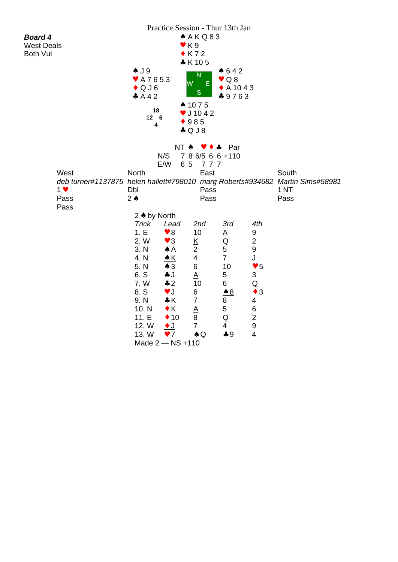| A K Q 83<br><b>Board 4</b><br>$\blacktriangledown$ K 9<br><b>West Deals</b><br>$\bullet$ K72<br><b>Both Vul</b><br>* K 105<br>$\clubsuit$ J 9<br>642<br>$\mathsf{N}$<br>$\vee$ Q 8<br>♥ A7653<br>lW<br>E<br>$\bullet$ QJ6<br>$\bullet$ A 1043<br>$\mathbf S$<br>A42<br>$*9763$<br>$\spadesuit$ 1075<br>18<br>$\bullet$ J 10 4 2<br>$12 \quad 6$<br>$*985$<br>4<br>$\clubsuit$ Q J 8<br>NT A<br>Par<br>♣<br>7 8 6/5 6 6 +110<br>N/S<br>E/W<br>65<br>777<br>West<br>North<br>East<br>South<br>deb turner#1137875 helen hallett#798010 marg Roberts#934682 Martin Sims#58981<br>Dbl<br>1 <sub>NT</sub><br>$1 \vee$<br>Pass<br>Pass<br>$2 \triangle$<br>Pass<br>Pass<br>Pass<br>2 ♦ by North |
|------------------------------------------------------------------------------------------------------------------------------------------------------------------------------------------------------------------------------------------------------------------------------------------------------------------------------------------------------------------------------------------------------------------------------------------------------------------------------------------------------------------------------------------------------------------------------------------------------------------------------------------------------------------------------------------|
|                                                                                                                                                                                                                                                                                                                                                                                                                                                                                                                                                                                                                                                                                          |
|                                                                                                                                                                                                                                                                                                                                                                                                                                                                                                                                                                                                                                                                                          |
|                                                                                                                                                                                                                                                                                                                                                                                                                                                                                                                                                                                                                                                                                          |
|                                                                                                                                                                                                                                                                                                                                                                                                                                                                                                                                                                                                                                                                                          |
|                                                                                                                                                                                                                                                                                                                                                                                                                                                                                                                                                                                                                                                                                          |
|                                                                                                                                                                                                                                                                                                                                                                                                                                                                                                                                                                                                                                                                                          |
|                                                                                                                                                                                                                                                                                                                                                                                                                                                                                                                                                                                                                                                                                          |
|                                                                                                                                                                                                                                                                                                                                                                                                                                                                                                                                                                                                                                                                                          |
|                                                                                                                                                                                                                                                                                                                                                                                                                                                                                                                                                                                                                                                                                          |
|                                                                                                                                                                                                                                                                                                                                                                                                                                                                                                                                                                                                                                                                                          |
|                                                                                                                                                                                                                                                                                                                                                                                                                                                                                                                                                                                                                                                                                          |
|                                                                                                                                                                                                                                                                                                                                                                                                                                                                                                                                                                                                                                                                                          |
|                                                                                                                                                                                                                                                                                                                                                                                                                                                                                                                                                                                                                                                                                          |
|                                                                                                                                                                                                                                                                                                                                                                                                                                                                                                                                                                                                                                                                                          |
|                                                                                                                                                                                                                                                                                                                                                                                                                                                                                                                                                                                                                                                                                          |
|                                                                                                                                                                                                                                                                                                                                                                                                                                                                                                                                                                                                                                                                                          |
|                                                                                                                                                                                                                                                                                                                                                                                                                                                                                                                                                                                                                                                                                          |
|                                                                                                                                                                                                                                                                                                                                                                                                                                                                                                                                                                                                                                                                                          |
|                                                                                                                                                                                                                                                                                                                                                                                                                                                                                                                                                                                                                                                                                          |
|                                                                                                                                                                                                                                                                                                                                                                                                                                                                                                                                                                                                                                                                                          |
|                                                                                                                                                                                                                                                                                                                                                                                                                                                                                                                                                                                                                                                                                          |
|                                                                                                                                                                                                                                                                                                                                                                                                                                                                                                                                                                                                                                                                                          |
| 4th<br><b>Trick</b><br>2nd<br>3rd<br>Lead                                                                                                                                                                                                                                                                                                                                                                                                                                                                                                                                                                                                                                                |
| 1.E<br>$\blacktriangledown 8$<br>10<br>9<br>$\underline{A}$                                                                                                                                                                                                                                                                                                                                                                                                                                                                                                                                                                                                                              |
| $\overline{c}$<br>Q<br>2. W<br>$\blacktriangledown$ 3<br>$\underline{\mathsf{K}}$                                                                                                                                                                                                                                                                                                                                                                                                                                                                                                                                                                                                        |
| 9<br>5<br>$\overline{2}$<br>3. N<br><u>♠ A</u>                                                                                                                                                                                                                                                                                                                                                                                                                                                                                                                                                                                                                                           |
| $\overline{7}$<br>$\overline{\mathbf{4}}$<br>J<br>4. N<br>$\triangle K$                                                                                                                                                                                                                                                                                                                                                                                                                                                                                                                                                                                                                  |
| $\triangle$ 3<br>6<br>5. N<br>10<br>$\blacktriangledown 5$                                                                                                                                                                                                                                                                                                                                                                                                                                                                                                                                                                                                                               |
| $\ensuremath{\mathsf{3}}$<br>6. S<br>÷J<br>5<br>$\underline{\mathsf{A}}$                                                                                                                                                                                                                                                                                                                                                                                                                                                                                                                                                                                                                 |
| 6<br>7.W<br>$\overline{\mathsf{Q}}$<br>42<br>10                                                                                                                                                                                                                                                                                                                                                                                                                                                                                                                                                                                                                                          |
| $\blacktriangledown$<br>8. S<br>6<br>$\bullet$ 3<br>$\underline{\bullet 8}$<br>$\overline{7}$                                                                                                                                                                                                                                                                                                                                                                                                                                                                                                                                                                                            |
| 9. N<br>8<br>4<br>5<br>$\,6$<br>10. N<br>$\bullet K$                                                                                                                                                                                                                                                                                                                                                                                                                                                                                                                                                                                                                                     |
| $\underline{A}$<br>$\overline{2}$<br>$\,8\,$<br>$\underline{\mathsf{Q}}$<br>11.E<br>$\div$ 10                                                                                                                                                                                                                                                                                                                                                                                                                                                                                                                                                                                            |
| $\boldsymbol{9}$<br>$\overline{7}$<br>$\overline{\mathbf{4}}$<br>12. W<br>$\overline{\bullet}$ J                                                                                                                                                                                                                                                                                                                                                                                                                                                                                                                                                                                         |
| $\overline{4}$<br>13. W<br>$\blacktriangledown$<br>$-9$<br>$\clubsuit$ Q                                                                                                                                                                                                                                                                                                                                                                                                                                                                                                                                                                                                                 |
|                                                                                                                                                                                                                                                                                                                                                                                                                                                                                                                                                                                                                                                                                          |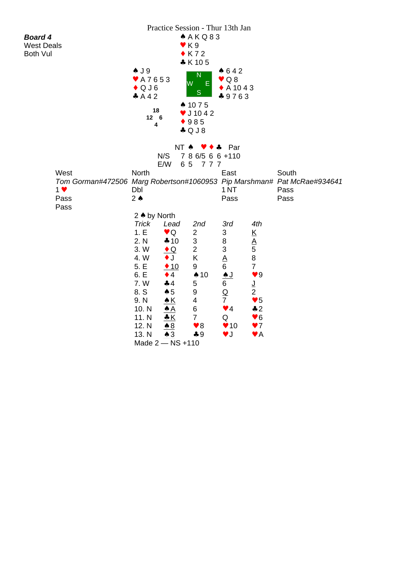|                                                                         |                 |                          | A K Q 83                         | Practice Session - Thur 13th Jan |                                         |       |
|-------------------------------------------------------------------------|-----------------|--------------------------|----------------------------------|----------------------------------|-----------------------------------------|-------|
| <b>Board 4</b><br><b>West Deals</b>                                     |                 | $\blacktriangledown$ K 9 |                                  |                                  |                                         |       |
| <b>Both Vul</b>                                                         |                 |                          | $\bullet$ K72                    |                                  |                                         |       |
|                                                                         |                 |                          | $*$ K 105                        |                                  |                                         |       |
|                                                                         | $\clubsuit$ J 9 |                          | $\mathsf{N}$                     | $*642$                           |                                         |       |
|                                                                         | ♥ A7653         | W                        | E.                               | $\vee$ Q8                        |                                         |       |
|                                                                         | $\bullet$ QJ6   |                          | S                                | $\bullet$ A 1043                 |                                         |       |
|                                                                         | A 4 2           |                          | ▲ 1075                           | $*9763$                          |                                         |       |
|                                                                         | 18              |                          | $\bullet$ J 10 4 2               |                                  |                                         |       |
|                                                                         | $12 \quad 6$    |                          | 985                              |                                  |                                         |       |
|                                                                         | 4               |                          | $\clubsuit$ Q J 8                |                                  |                                         |       |
|                                                                         |                 |                          |                                  |                                  |                                         |       |
|                                                                         |                 | NT A                     |                                  | Par                              |                                         |       |
|                                                                         |                 | N/S                      | 7 8 6/5 6 6 + 110                |                                  |                                         |       |
| West                                                                    | North           | E/W<br>65                | 777                              | East                             |                                         | South |
| Tom Gorman#472506 Marg Robertson#1060953 Pip Marshman# Pat McRae#934641 |                 |                          |                                  |                                  |                                         |       |
| 1 <sub>v</sub>                                                          | Dbl             |                          |                                  | 1 <sub>NT</sub>                  |                                         | Pass  |
| Pass                                                                    | $2 \triangle$   |                          |                                  | Pass                             |                                         | Pass  |
| Pass                                                                    |                 |                          |                                  |                                  |                                         |       |
|                                                                         | 2 A by North    |                          |                                  |                                  |                                         |       |
|                                                                         | Trick           | Lead                     | 2nd                              | 3rd                              | 4th                                     |       |
|                                                                         | 1.E<br>2. N     | $\vee$ Q<br>410          | $\overline{c}$<br>$\mathfrak{S}$ | $\ensuremath{\mathsf{3}}$<br>8   | $\underline{\mathsf{K}}$                |       |
|                                                                         | 3.W             | $\triangle$ Q            | $\overline{2}$                   | $\ensuremath{\mathsf{3}}$        | $\frac{A}{5}$                           |       |
|                                                                         | 4.W             | $\bullet$ J              | K                                | $\underline{A}$                  | $\bf 8$                                 |       |
|                                                                         | 5. E            | $\triangle$ 10           | 9                                | 6                                | $\overline{7}$                          |       |
|                                                                         | 6. E            | $\bullet$ 4              | $\spadesuit$ 10                  | <u>AJ</u>                        | $\blacktriangledown 9$                  |       |
|                                                                         | 7.W             | 44                       | 5                                | 6                                | ┙                                       |       |
|                                                                         | 8. S            | $\spadesuit$ 5           | $\boldsymbol{9}$                 | $\underline{\mathsf{Q}}$         | $\overline{2}$                          |       |
|                                                                         | 9. N            | $\triangle K$            | 4                                | $\overline{7}$                   | $\blacktriangledown 5$                  |       |
|                                                                         | 10. N<br>11. N  | A                        | 6<br>$\overline{7}$              | $\blacktriangledown$ 4<br>Q      | $\clubsuit$ 2<br>$\blacktriangledown 6$ |       |
|                                                                         | 12. N           | $\underline{\bullet 8}$  | $\blacktriangledown 8$           | $\blacktriangledown$ 10          | $\blacktriangledown$                    |       |
|                                                                         | 13. N           | $\triangle$ 3            | $\clubsuit$ 9                    | $\blacktriangledown$             | $\blacktriangledown$ A                  |       |
|                                                                         |                 | Made 2 - NS +110         |                                  |                                  |                                         |       |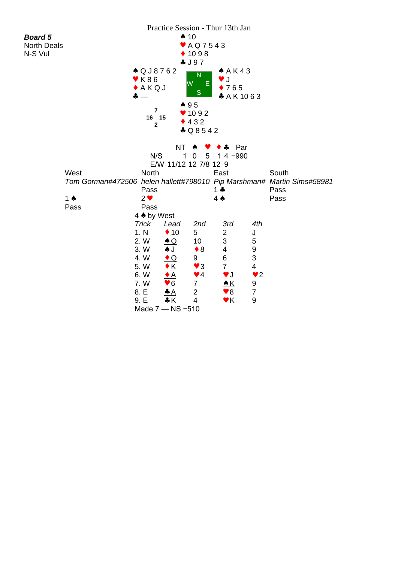|                    |               |                          |                        |                                | Practice Session - Thur 13th Jan |                  |                                                                                |
|--------------------|---------------|--------------------------|------------------------|--------------------------------|----------------------------------|------------------|--------------------------------------------------------------------------------|
| <b>Board 5</b>     |               |                          | $\spadesuit$ 10        |                                |                                  |                  |                                                                                |
| <b>North Deals</b> |               |                          |                        | $\blacktriangleright$ AQ7543   |                                  |                  |                                                                                |
| N-S Vul            |               |                          |                        | $* 1098$                       |                                  |                  |                                                                                |
|                    |               |                          |                        | 4J97                           |                                  |                  |                                                                                |
|                    |               | ▲ Q J 8 7 6 2            |                        |                                | A K 43                           |                  |                                                                                |
|                    |               | $\blacktriangledown$ K86 | lW.                    | N<br>Ε                         | J<br>v.                          |                  |                                                                                |
|                    |               | A K Q J                  |                        |                                | $\bullet$ 765                    |                  |                                                                                |
|                    |               | $\clubsuit$ $-$          |                        | S                              | * A K 1063                       |                  |                                                                                |
|                    |               |                          | 495                    |                                |                                  |                  |                                                                                |
|                    |               | $\overline{7}$<br>16 15  |                        | $* 1092$                       |                                  |                  |                                                                                |
|                    |               | $\mathbf{2}$             |                        | 432                            |                                  |                  |                                                                                |
|                    |               |                          |                        | $\clubsuit$ Q8542              |                                  |                  |                                                                                |
|                    |               |                          |                        |                                |                                  |                  |                                                                                |
|                    |               |                          | <b>NT</b>              | ♠                              | Par<br>♣                         |                  |                                                                                |
|                    |               | N/S                      | 1                      | $5\phantom{.0}$<br>$\mathbf 0$ | $14 - 990$                       |                  |                                                                                |
|                    |               |                          | E/W 11/12 12 7/8 12 9  |                                |                                  |                  |                                                                                |
|                    | West          | <b>North</b>             |                        |                                | East                             |                  | South                                                                          |
|                    |               | Pass                     |                        |                                | $1 +$                            |                  | Tom Gorman#472506 helen hallett#798010 Pip Marshman# Martin Sims#58981<br>Pass |
|                    | 1 $\triangle$ | $2 \vee$                 |                        |                                | $4 \spadesuit$                   |                  | Pass                                                                           |
|                    | Pass          | Pass                     |                        |                                |                                  |                  |                                                                                |
|                    |               | 4 A by West              |                        |                                |                                  |                  |                                                                                |
|                    |               | Trick                    | Lead                   | 2nd                            | 3rd                              | 4th              |                                                                                |
|                    |               | 1. N                     | $\triangle$ 10         | 5                              | 2                                | <u>J</u>         |                                                                                |
|                    |               | 2. W                     | $\triangle Q$          | 10                             | 3                                | 5                |                                                                                |
|                    |               | 3.W                      | <u>AJ</u>              | $\bullet$ 8                    | 4                                | $\boldsymbol{9}$ |                                                                                |
|                    |               | 4.W                      | $\bullet$ Q            | 9                              | 6                                | 3                |                                                                                |
|                    |               | 5.W                      | $\cdot$ K              | $\blacktriangledown$ 3         | $\overline{7}$                   | 4                |                                                                                |
|                    |               | 6.W                      | $\bullet$ A            | $\blacktriangledown$ 4         | $\blacktriangledown$ J           | $\bullet$ 2      |                                                                                |
|                    |               | 7. W                     | $\blacktriangledown 6$ | $\overline{7}$                 | <u> ▲ K</u>                      | 9                |                                                                                |
|                    |               | 8. E                     | $\triangle A$          | $\overline{2}$                 | $\bullet$ 8                      | $\boldsymbol{7}$ |                                                                                |
|                    |               | 9. E                     | K                      | $\overline{4}$                 | $\blacktriangledown$ K           | 9                |                                                                                |
|                    |               |                          | Made 7 - NS -510       |                                |                                  |                  |                                                                                |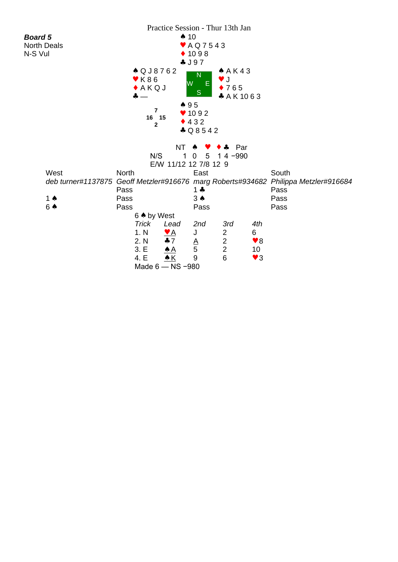|                                                             |                          |                  |                       | Practice Session - Thur 13th Jan |                        |                         |
|-------------------------------------------------------------|--------------------------|------------------|-----------------------|----------------------------------|------------------------|-------------------------|
| <b>Board 5</b>                                              |                          |                  | $\spadesuit$ 10       |                                  |                        |                         |
| <b>North Deals</b>                                          |                          |                  | ♥ A Q 7 5 4 3         |                                  |                        |                         |
| N-S Vul                                                     |                          |                  | $* 1098$              |                                  |                        |                         |
|                                                             |                          |                  | 4J97                  |                                  |                        |                         |
|                                                             | ▲ Q J 8 7 6 2            |                  |                       | A K 43                           |                        |                         |
|                                                             | $\blacktriangledown$ K86 |                  | N                     | J                                |                        |                         |
|                                                             | A K Q J                  |                  | W<br>E.               | $\bullet$ 765                    |                        |                         |
|                                                             | $\bullet -$              |                  | S                     | * A K 1063                       |                        |                         |
|                                                             |                          |                  | 495                   |                                  |                        |                         |
|                                                             | $\overline{7}$           |                  | $* 1092$              |                                  |                        |                         |
|                                                             | 16 15<br>$\mathbf{2}$    |                  | 432                   |                                  |                        |                         |
|                                                             |                          |                  | $\clubsuit$ Q 8 5 4 2 |                                  |                        |                         |
|                                                             |                          |                  |                       |                                  |                        |                         |
|                                                             |                          | ΝT               |                       | Par                              |                        |                         |
|                                                             | N/S                      | 1                | 5<br>0                | $14 - 990$                       |                        |                         |
|                                                             |                          |                  | E/W 11/12 12 7/8 12 9 |                                  |                        |                         |
| West                                                        | <b>North</b>             |                  | East                  |                                  |                        | South                   |
| deb turner#1137875 Geoff Metzler#916676 marg Roberts#934682 |                          |                  |                       |                                  |                        | Philippa Metzler#916684 |
|                                                             | Pass                     |                  | $1 +$                 |                                  |                        | Pass                    |
| 1 $\spadesuit$                                              | Pass                     |                  | $3 \spadesuit$        |                                  |                        | Pass                    |
| 6 ♠                                                         | Pass                     |                  | Pass                  |                                  |                        | Pass                    |
|                                                             | 6 ♦ by West              |                  |                       |                                  |                        |                         |
|                                                             | <b>Trick</b>             | Lead             | 2nd                   | 3rd                              | 4th                    |                         |
|                                                             | 1. N                     | <u>♥ A</u>       | J                     | $\overline{c}$                   | 6                      |                         |
|                                                             | 2. N                     | $+7$             | $\frac{A}{5}$         | $\frac{2}{2}$                    | $\blacktriangledown 8$ |                         |
|                                                             | 3. E                     | $\triangle$ A    |                       |                                  | 10                     |                         |
|                                                             | 4. E                     | <u>▲ K</u>       | $9\,$                 | $6\phantom{1}$                   | $\blacktriangledown$ 3 |                         |
|                                                             |                          | Made 6 - NS -980 |                       |                                  |                        |                         |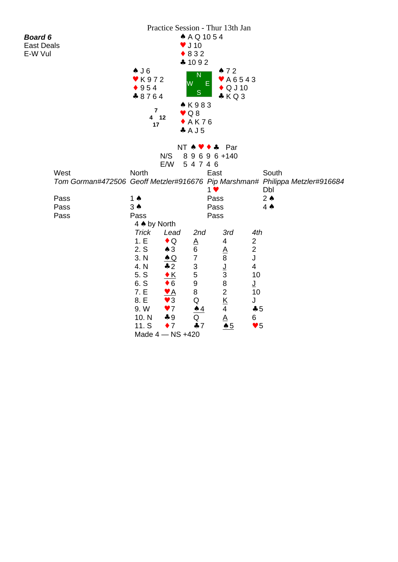|                                                                              |                | Practice Session - Thur 13th Jan |                                                |                          |                        |       |  |
|------------------------------------------------------------------------------|----------------|----------------------------------|------------------------------------------------|--------------------------|------------------------|-------|--|
| <b>Board 6</b>                                                               |                |                                  | ▲ A Q 10 5 4                                   |                          |                        |       |  |
| East Deals                                                                   |                |                                  | $\blacktriangledown$ J 10                      |                          |                        |       |  |
| E-W Vul                                                                      |                |                                  | $\bullet$ 832                                  |                          |                        |       |  |
|                                                                              |                |                                  | 41092                                          |                          |                        |       |  |
|                                                                              | $\triangle$ J6 |                                  |                                                | 472                      |                        |       |  |
|                                                                              | ♥ K972         |                                  | N                                              | $*$ A6543                |                        |       |  |
|                                                                              | 954            |                                  | W<br>Ε                                         | $\bullet$ Q J 10         |                        |       |  |
|                                                                              | $*8764$        |                                  | S                                              | $*$ KQ3                  |                        |       |  |
|                                                                              |                |                                  | *K983                                          |                          |                        |       |  |
|                                                                              | $\overline{7}$ |                                  | $\vee$ Q 8                                     |                          |                        |       |  |
|                                                                              | 4 12           |                                  | $+AK76$                                        |                          |                        |       |  |
|                                                                              | 17             |                                  | A J 5                                          |                          |                        |       |  |
|                                                                              |                |                                  |                                                |                          |                        |       |  |
|                                                                              |                |                                  | $NT \cdot \bullet \bullet \bullet \bullet$ Par |                          |                        |       |  |
|                                                                              |                | N/S                              | 89696+140                                      |                          |                        |       |  |
|                                                                              |                | E/W                              | 54746                                          |                          |                        |       |  |
| West                                                                         | <b>North</b>   |                                  |                                                | East                     |                        | South |  |
| Tom Gorman#472506 Geoff Metzler#916676 Pip Marshman# Philippa Metzler#916684 |                |                                  |                                                |                          |                        |       |  |
|                                                                              |                |                                  | $1$ $\vee$                                     |                          | Dbl                    |       |  |
| Pass                                                                         | 1 $\triangle$  |                                  |                                                | Pass                     | $2 \triangle$          |       |  |
| Pass                                                                         | $3 \spadesuit$ |                                  |                                                | Pass                     | $4 \spadesuit$         |       |  |
| Pass                                                                         | Pass           |                                  |                                                | Pass                     |                        |       |  |
|                                                                              | 4 A by North   |                                  |                                                |                          |                        |       |  |
|                                                                              | <b>Trick</b>   | Lead                             | 2nd                                            | 3rd                      | 4th                    |       |  |
|                                                                              | 1.E            | $\bullet$ Q                      | <u>A</u>                                       | 4                        | $\overline{c}$         |       |  |
|                                                                              | 2. S           | $\triangle$ 3                    | 6                                              | <u>A</u>                 | $\mathbf 2$            |       |  |
|                                                                              | 3. N           | $\triangle$ Q                    | $\overline{7}$                                 | 8                        | J                      |       |  |
|                                                                              | 4. N           | $\clubsuit$ 2                    | $\ensuremath{\mathsf{3}}$                      | <u>ل</u>                 | 4                      |       |  |
|                                                                              | 5. S           | $\cdot$ K                        | $\mathbf 5$                                    | $\mathsf 3$              | 10                     |       |  |
|                                                                              | 6. S           | $\bullet$ 6                      | $\boldsymbol{9}$                               | 8                        | ┚                      |       |  |
|                                                                              | 7. E           | <u>Y A</u>                       | 8                                              | $\overline{2}$           | 10                     |       |  |
|                                                                              | 8. E           | $\blacktriangledown$ 3           | Q                                              | $\underline{\mathsf{K}}$ | J                      |       |  |
|                                                                              | 9.W            | $\blacktriangledown$             | <u>▲ 4</u>                                     | 4                        | $\clubsuit 5$          |       |  |
|                                                                              | 10. N          | $*9$                             | Q                                              | $\underline{A}$          | 6                      |       |  |
|                                                                              | 11. S          | $\bullet$ 7                      | 47                                             | $\triangle 5$            | $\blacktriangledown 5$ |       |  |
|                                                                              |                | Made 4 - NS +420                 |                                                |                          |                        |       |  |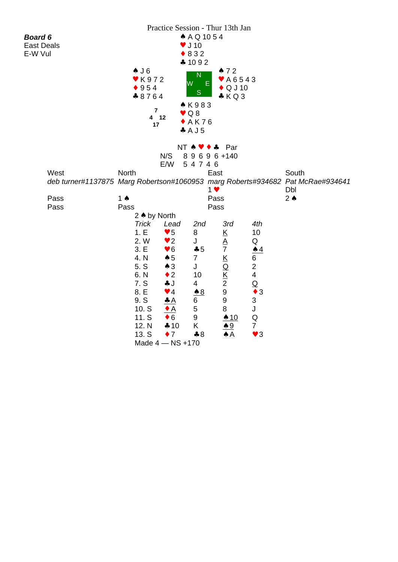|                                     |                           |                              |                                           | Practice Session - Thur 13th Jan           |                                         |                                                                                         |  |
|-------------------------------------|---------------------------|------------------------------|-------------------------------------------|--------------------------------------------|-----------------------------------------|-----------------------------------------------------------------------------------------|--|
| <b>Board 6</b><br><b>East Deals</b> |                           |                              | ▲ A Q 10 5 4<br>$\blacktriangledown$ J 10 |                                            |                                         |                                                                                         |  |
| E-W Vul                             |                           |                              | $\bullet$ 832                             |                                            |                                         |                                                                                         |  |
|                                     |                           |                              | 41092                                     |                                            |                                         |                                                                                         |  |
|                                     | $\triangle$ J6            |                              | $\overline{\mathsf{N}}$                   | 472                                        |                                         |                                                                                         |  |
|                                     | $\blacktriangledown$ K972 |                              | W<br>E                                    | ♥ A 6 5 4 3                                |                                         |                                                                                         |  |
|                                     | $*954$                    |                              | S                                         | $\bullet$ Q J 10                           |                                         |                                                                                         |  |
|                                     | $*8764$                   |                              | *K983                                     | KQ3                                        |                                         |                                                                                         |  |
|                                     | $\overline{7}$            |                              | $\vee$ Q 8                                |                                            |                                         |                                                                                         |  |
|                                     | 4 12<br>17                |                              | $*$ AK76                                  |                                            |                                         |                                                                                         |  |
|                                     |                           |                              | A J 5                                     |                                            |                                         |                                                                                         |  |
|                                     |                           |                              |                                           |                                            |                                         |                                                                                         |  |
|                                     |                           | NT A                         | $\bullet$ $\bullet$                       | Par                                        |                                         |                                                                                         |  |
|                                     |                           | N/S                          | 89696+140                                 |                                            |                                         |                                                                                         |  |
|                                     |                           | E/W                          | 54746                                     |                                            |                                         |                                                                                         |  |
| West                                | <b>North</b>              |                              |                                           | East                                       |                                         | South<br>deb turner#1137875 Marg Robertson#1060953 marg Roberts#934682 Pat McRae#934641 |  |
|                                     |                           |                              | $1$ $\blacktriangledown$                  |                                            |                                         | Dbl                                                                                     |  |
| Pass                                | 1 $\triangle$             |                              |                                           | Pass                                       |                                         | $2 \triangle$                                                                           |  |
| Pass                                | Pass                      |                              |                                           | Pass                                       |                                         |                                                                                         |  |
|                                     | 2 A by North              |                              |                                           |                                            |                                         |                                                                                         |  |
|                                     | <b>Trick</b>              | Lead                         | 2nd                                       | 3rd                                        | 4th                                     |                                                                                         |  |
|                                     | 1.E                       | $\blacktriangledown 5$       | 8                                         | $\underline{\mathsf{K}}$                   | 10                                      |                                                                                         |  |
|                                     | 2. W                      | $\blacktriangledown$ 2       | J                                         | $\underline{A}$                            | Q                                       |                                                                                         |  |
|                                     | 3.E                       | $\blacktriangledown 6$       | $\clubsuit$ 5                             | $\overline{7}$                             | $\triangle 4$                           |                                                                                         |  |
|                                     | 4. N                      | $\clubsuit$ 5                | $\overline{7}$                            | $\underline{\mathsf{K}}$                   | 6                                       |                                                                                         |  |
|                                     | 5. S<br>6. N              | $\clubsuit$ 3<br>$\bullet$ 2 | J<br>10                                   | $\overline{Q}$                             | $\mathbf{2}$<br>$\overline{\mathbf{4}}$ |                                                                                         |  |
|                                     | 7. S                      | ÷J                           | 4                                         | $\underline{\mathsf{K}}$<br>$\overline{2}$ | $\underline{\mathsf{Q}}$                |                                                                                         |  |
|                                     | 8. E                      | $\blacktriangledown$ 4       | $\underline{\bullet 8}$                   | $\boldsymbol{9}$                           | $\bullet$ 3                             |                                                                                         |  |
|                                     | 9. S                      |                              | 6                                         | $\boldsymbol{9}$                           | $\ensuremath{\mathsf{3}}$               |                                                                                         |  |
|                                     | 10. S                     | <u>◆ A</u>                   | $\mathbf 5$                               | $\bf 8$                                    | J                                       |                                                                                         |  |
|                                     | 11. S                     | $\bullet$ 6                  | $\boldsymbol{9}$                          | $\spadesuit$ 10                            | ${\sf Q}$                               |                                                                                         |  |
|                                     | 12. N                     | 410                          | K                                         | <u>9</u>                                   | $\overline{7}$                          |                                                                                         |  |
|                                     | 13. S                     | $\bullet$ 7                  | $*8$                                      | ѧ А                                        | $\blacktriangledown$ 3                  |                                                                                         |  |
|                                     |                           | Made 4 - NS +170             |                                           |                                            |                                         |                                                                                         |  |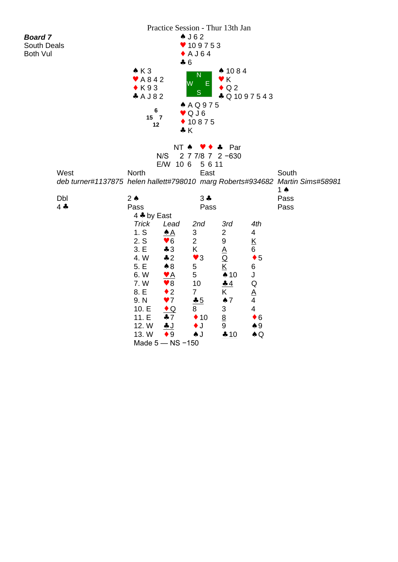| Practice Session - Thur 13th Jan |                                                                               |                             |                         |                             |                              |                          |       |  |
|----------------------------------|-------------------------------------------------------------------------------|-----------------------------|-------------------------|-----------------------------|------------------------------|--------------------------|-------|--|
| <b>Board 7</b>                   |                                                                               |                             |                         | $\triangle$ J62             |                              |                          |       |  |
| <b>South Deals</b>               |                                                                               |                             |                         | ♥ 109753                    |                              |                          |       |  |
| <b>Both Vul</b>                  |                                                                               |                             |                         | $\bullet$ A J 64            |                              |                          |       |  |
|                                  |                                                                               |                             | $-6$                    |                             |                              |                          |       |  |
|                                  |                                                                               | $\triangle$ K 3             |                         | $\mathsf{N}$                | $* 1084$                     |                          |       |  |
|                                  |                                                                               | $\blacktriangleright$ A 842 | lw                      | E.                          | $\bullet$ K                  |                          |       |  |
|                                  |                                                                               | $\bullet$ K93               |                         | S                           | $\bullet$ Q 2                |                          |       |  |
|                                  |                                                                               | A J 82                      |                         |                             | $\clubsuit$ Q 1097543        |                          |       |  |
|                                  |                                                                               | 6                           | AAQ975<br>$\bullet$ QJ6 |                             |                              |                          |       |  |
|                                  | $15$ 7<br>$* 10875$                                                           |                             |                         |                             |                              |                          |       |  |
|                                  |                                                                               | 12                          | $\clubsuit K$           |                             |                              |                          |       |  |
|                                  |                                                                               |                             |                         |                             |                              |                          |       |  |
| NT A<br>Par<br>4                 |                                                                               |                             |                         |                             |                              |                          |       |  |
| 2 7 7/8 7 2 -630<br>N/S          |                                                                               |                             |                         |                             |                              |                          |       |  |
|                                  | E/W 10 6<br>5 6 11                                                            |                             |                         |                             |                              |                          |       |  |
|                                  | West                                                                          | North                       |                         | East                        |                              |                          | South |  |
|                                  | deb turner#1137875 helen hallett#798010 marg Roberts#934682 Martin Sims#58981 |                             |                         |                             |                              |                          |       |  |
|                                  |                                                                               |                             |                         |                             |                              | 1 $\triangle$            |       |  |
|                                  | Dbl                                                                           | $2 \triangle$               |                         | $3 +$                       |                              |                          | Pass  |  |
|                                  | $4 -$                                                                         | Pass                        | Pass                    |                             |                              | Pass                     |       |  |
|                                  |                                                                               |                             | 4 * by East             |                             |                              |                          |       |  |
|                                  |                                                                               | <b>Trick</b>                | Lead                    | 2nd                         | 3rd                          | 4th                      |       |  |
|                                  |                                                                               | 1. S                        | <u>♠ A</u>              | $\mathfrak{S}$              | $\overline{2}$               | 4                        |       |  |
|                                  |                                                                               | 2. S                        | $\blacktriangledown 6$  | $\overline{2}$              | 9                            | $\underline{\mathsf{K}}$ |       |  |
|                                  |                                                                               | 3. E<br>4. W                | $\clubsuit$ 3<br>42     | K<br>$\blacktriangledown$ 3 | <u>A</u>                     | 6<br>$\bullet$ 5         |       |  |
|                                  |                                                                               | 5. E                        | $\clubsuit$ 8           | 5                           | $\overline{\mathsf{Q}}$<br>K | 6                        |       |  |
|                                  |                                                                               | 6.W                         | <u>V A</u>              | $5\phantom{.0}$             | $\spadesuit$ 10              | J                        |       |  |
|                                  |                                                                               | 7. W                        | $\blacktriangledown 8$  | 10                          | 44                           | Q                        |       |  |
|                                  |                                                                               | 8. E                        | $\bullet$ 2             | $\overline{7}$              | K                            | A                        |       |  |
|                                  |                                                                               | 9. N                        | $\blacktriangledown$    | $-5$                        | $\spadesuit$ 7               | 4                        |       |  |
|                                  |                                                                               | 10.E                        | $\triangle$             | 8                           | 3                            | $\overline{\mathbf{4}}$  |       |  |
|                                  |                                                                               | 11.E                        | $\clubsuit$ 7           | $\triangle$ 10              | $\underline{8}$              | $\bullet$ 6              |       |  |
|                                  |                                                                               | 12. W                       | <u>+ J</u>              | $\bullet$ J                 | 9                            | $\clubsuit$ 9            |       |  |
|                                  |                                                                               | 13. W                       | $\bullet$ 9             | AJ                          | <u> ← 10</u>                 | $\clubsuit$ Q            |       |  |
|                                  |                                                                               |                             | Made 5 - NS -150        |                             |                              |                          |       |  |